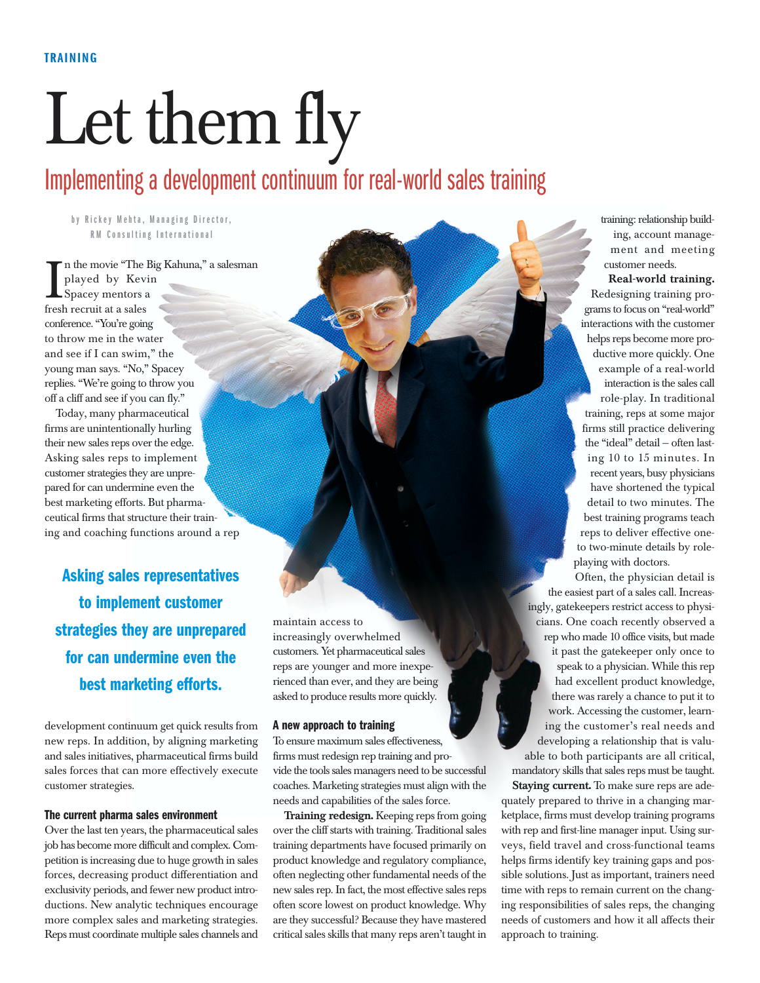# Let them fly

# Implementing a development continuum for real-world sales training

**by Rickey Mehta, Managing Director, RM Consulting International**

I n the movie "The<br>played by Kev<br>Spacey mentors :<br>fresh recruit at a sales n the movie "The Big Kahuna," a salesman played by Kevin Spacey mentors a conference. "You're going to throw me in the water and see if I can swim," the young man says. "No," Spacey replies. "We're going to throw you off a cliff and see if you can fly."

Today, many pharmaceutical firms are unintentionally hurling their new sales reps over the edge. Asking sales reps to implement customer strategies they are unprepared for can undermine even the best marketing efforts. But pharmaceutical firms that structure their training and coaching functions around a rep

**Asking sales representatives to implement customer strategies they are unprepared for can undermine even the best marketing efforts.**

development continuum get quick results from new reps. In addition, by aligning marketing and sales initiatives, pharmaceutical firms build sales forces that can more effectively execute customer strategies.

# **The current pharma sales environment**

Over the last ten years, the pharmaceutical sales job has become more difficult and complex. Competition is increasing due to huge growth in sales forces, decreasing product differentiation and exclusivity periods, and fewer new product introductions. New analytic techniques encourage more complex sales and marketing strategies. Reps must coordinate multiple sales channels and

maintain access to increasingly overwhelmed customers. Yet pharmaceutical sales reps are younger and more inexperienced than ever, and they are being asked to produce results more quickly.

#### **A new approach to training**

To ensure maximum sales effectiveness, firms must redesign rep training and provide the tools sales managers need to be successful coaches. Marketing strategies must align with the needs and capabilities of the sales force.

**Training redesign.** Keeping reps from going over the cliff starts with training. Traditional sales training departments have focused primarily on product knowledge and regulatory compliance, often neglecting other fundamental needs of the new sales rep. In fact, the most effective sales reps often score lowest on product knowledge. Why are they successful? Because they have mastered critical sales skills that many reps aren't taught in

training: relationship building, account management and meeting customer needs.

**Real-world training.** Redesigning training programs to focus on "real-world" interactions with the customer helps reps become more productive more quickly. One example of a real-world interaction is the sales call role-play. In traditional training, reps at some major firms still practice delivering the "ideal" detail — often lasting 10 to 15 minutes. In recent years, busy physicians have shortened the typical detail to two minutes. The best training programs teach reps to deliver effective oneto two-minute details by roleplaying with doctors.

Often, the physician detail is the easiest part of a sales call. Increasingly, gatekeepers restrict access to physicians. One coach recently observed a rep who made 10 office visits, but made it past the gatekeeper only once to speak to a physician. While this rep had excellent product knowledge, there was rarely a chance to put it to work. Accessing the customer, learning the customer's real needs and developing a relationship that is valuable to both participants are all critical, mandatory skills that sales reps must be taught.

**Staying current.** To make sure reps are adequately prepared to thrive in a changing marketplace, firms must develop training programs with rep and first-line manager input. Using surveys, field travel and cross-functional teams helps firms identify key training gaps and possible solutions. Just as important, trainers need time with reps to remain current on the changing responsibilities of sales reps, the changing needs of customers and how it all affects their approach to training.